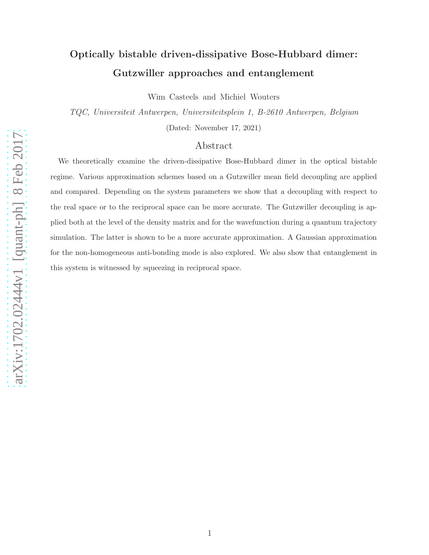# arXiv:1702.02444v1 [quant-ph] 8 Feb 2017 [arXiv:1702.02444v1 \[quant-ph\] 8 Feb 2017](http://arxiv.org/abs/1702.02444v1)

# Optically bistable driven-dissipative Bose-Hubbard dimer: Gutzwiller approaches and entanglement

Wim Casteels and Michiel Wouters

TQC, Universiteit Antwerpen, Universiteitsplein 1, B-2610 Antwerpen, Belgium

(Dated: November 17, 2021)

### Abstract

We theoretically examine the driven-dissipative Bose-Hubbard dimer in the optical bistable regime. Various approximation schemes based on a Gutzwiller mean field decoupling are applied and compared. Depending on the system parameters we show that a decoupling with respect to the real space or to the reciprocal space can be more accurate. The Gutzwiller decoupling is applied both at the level of the density matrix and for the wavefunction during a quantum trajectory simulation. The latter is shown to be a more accurate approximation. A Gaussian approximation for the non-homogeneous anti-bonding mode is also explored. We also show that entanglement in this system is witnessed by squeezing in reciprocal space.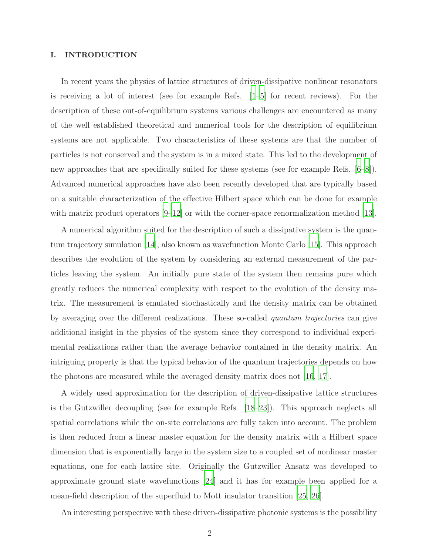### I. INTRODUCTION

In recent years the physics of lattice structures of driven-dissipative nonlinear resonators is receiving a lot of interest (see for example Refs.  $[1–5]$  $[1–5]$  $[1–5]$  for recent reviews). For the description of these out-of-equilibrium systems various challenges are encountered as many of the well established theoretical and numerical tools for the description of equilibrium systems are not applicable. Two characteristics of these systems are that the number of particles is not conserved and the system is in a mixed state. This led to the development of new approaches that are specifically suited for these systems (see for example Refs. [\[6](#page-21-2)[–8](#page-21-3)]). Advanced numerical approaches have also been recently developed that are typically based on a suitable characterization of the effective Hilbert space which can be done for example with matrix product operators  $[9-12]$  or with the corner-space renormalization method [\[13\]](#page-22-1).

A numerical algorithm suited for the description of such a dissipative system is the quantum trajectory simulation [\[14\]](#page-22-2), also known as wavefunction Monte Carlo [\[15](#page-22-3)]. This approach describes the evolution of the system by considering an external measurement of the particles leaving the system. An initially pure state of the system then remains pure which greatly reduces the numerical complexity with respect to the evolution of the density matrix. The measurement is emulated stochastically and the density matrix can be obtained by averaging over the different realizations. These so-called quantum trajectories can give additional insight in the physics of the system since they correspond to individual experimental realizations rather than the average behavior contained in the density matrix. An intriguing property is that the typical behavior of the quantum trajectories depends on how the photons are measured while the averaged density matrix does not [\[16,](#page-22-4) [17\]](#page-22-5).

A widely used approximation for the description of driven-dissipative lattice structures is the Gutzwiller decoupling (see for example Refs. [\[18](#page-22-6)[–23](#page-22-7)]). This approach neglects all spatial correlations while the on-site correlations are fully taken into account. The problem is then reduced from a linear master equation for the density matrix with a Hilbert space dimension that is exponentially large in the system size to a coupled set of nonlinear master equations, one for each lattice site. Originally the Gutzwiller Ansatz was developed to approximate ground state wavefunctions [\[24\]](#page-22-8) and it has for example been applied for a mean-field description of the superfluid to Mott insulator transition [\[25](#page-22-9), [26](#page-22-10)].

An interesting perspective with these driven-dissipative photonic systems is the possibility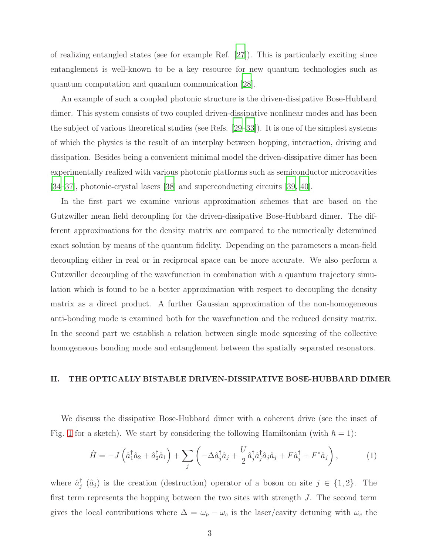of realizing entangled states (see for example Ref. [\[27](#page-22-11)]). This is particularly exciting since entanglement is well-known to be a key resource for new quantum technologies such as quantum computation and quantum communication [\[28\]](#page-22-12).

An example of such a coupled photonic structure is the driven-dissipative Bose-Hubbard dimer. This system consists of two coupled driven-dissipative nonlinear modes and has been the subject of various theoretical studies (see Refs. [\[29](#page-22-13)[–33](#page-22-14)]). It is one of the simplest systems of which the physics is the result of an interplay between hopping, interaction, driving and dissipation. Besides being a convenient minimal model the driven-dissipative dimer has been experimentally realized with various photonic platforms such as semiconductor microcavities [\[34](#page-23-0)[–37\]](#page-23-1), photonic-crystal lasers [\[38](#page-23-2)] and superconducting circuits [\[39,](#page-23-3) [40\]](#page-23-4).

In the first part we examine various approximation schemes that are based on the Gutzwiller mean field decoupling for the driven-dissipative Bose-Hubbard dimer. The different approximations for the density matrix are compared to the numerically determined exact solution by means of the quantum fidelity. Depending on the parameters a mean-field decoupling either in real or in reciprocal space can be more accurate. We also perform a Gutzwiller decoupling of the wavefunction in combination with a quantum trajectory simulation which is found to be a better approximation with respect to decoupling the density matrix as a direct product. A further Gaussian approximation of the non-homogeneous anti-bonding mode is examined both for the wavefunction and the reduced density matrix. In the second part we establish a relation between single mode squeezing of the collective homogeneous bonding mode and entanglement between the spatially separated resonators.

### <span id="page-2-0"></span>II. THE OPTICALLY BISTABLE DRIVEN-DISSIPATIVE BOSE-HUBBARD DIMER

We discuss the dissipative Bose-Hubbard dimer with a coherent drive (see the inset of Fig. [1](#page-5-0) for a sketch). We start by considering the following Hamiltonian (with  $\hbar = 1$ ):

$$
\hat{H} = -J\left(\hat{a}_1^\dagger \hat{a}_2 + \hat{a}_2^\dagger \hat{a}_1\right) + \sum_j \left(-\Delta \hat{a}_j^\dagger \hat{a}_j + \frac{U}{2} \hat{a}_j^\dagger \hat{a}_j^\dagger \hat{a}_j \hat{a}_j + F \hat{a}_j^\dagger + F^* \hat{a}_j\right),\tag{1}
$$

where  $\hat{a}_i^{\dagger}$  $j(\hat{a}_j)$  is the creation (destruction) operator of a boson on site  $j \in \{1,2\}$ . The first term represents the hopping between the two sites with strength  $J$ . The second term gives the local contributions where  $\Delta = \omega_p - \omega_c$  is the laser/cavity detuning with  $\omega_c$  the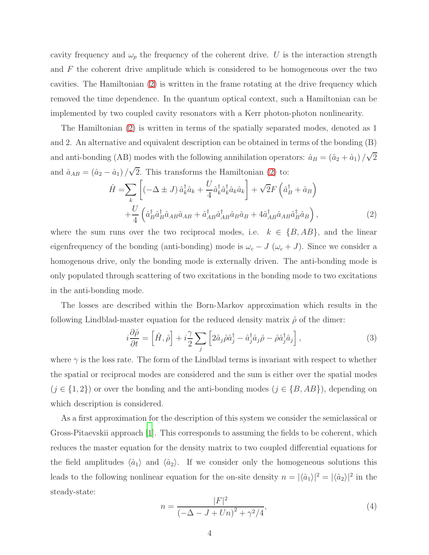cavity frequency and  $\omega_p$  the frequency of the coherent drive. U is the interaction strength and F the coherent drive amplitude which is considered to be homogeneous over the two cavities. The Hamiltonian [\(2\)](#page-3-0) is written in the frame rotating at the drive frequency which removed the time dependence. In the quantum optical context, such a Hamiltonian can be implemented by two coupled cavity resonators with a Kerr photon-photon nonlinearity.

The Hamiltonian [\(2\)](#page-3-0) is written in terms of the spatially separated modes, denoted as 1 and 2. An alternative and equivalent description can be obtained in terms of the bonding (B) and anti-bonding (AB) modes with the following annihilation operators:  $\hat{a}_B = (\hat{a}_2 + \hat{a}_1)/\sqrt{2}$ and  $\hat{a}_{AB} = (\hat{a}_2 - \hat{a}_1)/\sqrt{2}$ . This transforms the Hamiltonian [\(2\)](#page-3-0) to:

<span id="page-3-0"></span>
$$
\hat{H} = \sum_{k} \left[ \left( -\Delta \pm J \right) \hat{a}_{k}^{\dagger} \hat{a}_{k} + \frac{U}{4} \hat{a}_{k}^{\dagger} \hat{a}_{k}^{\dagger} \hat{a}_{k} \hat{a}_{k} \right] + \sqrt{2} F \left( \hat{a}_{B}^{\dagger} + \hat{a}_{B} \right) \n+ \frac{U}{4} \left( \hat{a}_{B}^{\dagger} \hat{a}_{B}^{\dagger} \hat{a}_{AB} \hat{a}_{AB} + \hat{a}_{AB}^{\dagger} \hat{a}_{AB}^{\dagger} \hat{a}_{B} \hat{a}_{B} + 4 \hat{a}_{AB}^{\dagger} \hat{a}_{AB} \hat{a}_{B}^{\dagger} \hat{a}_{B} \right),
$$
\n(2)

where the sum runs over the two reciprocal modes, i.e.  $k \in \{B, AB\}$ , and the linear eigenfrequency of the bonding (anti-bonding) mode is  $\omega_c - J(\omega_c + J)$ . Since we consider a homogenous drive, only the bonding mode is externally driven. The anti-bonding mode is only populated through scattering of two excitations in the bonding mode to two excitations in the anti-bonding mode.

The losses are described within the Born-Markov approximation which results in the following Lindblad-master equation for the reduced density matrix  $\hat{\rho}$  of the dimer:

<span id="page-3-2"></span>
$$
i\frac{\partial \hat{\rho}}{\partial t} = \left[\hat{H}, \hat{\rho}\right] + i\frac{\gamma}{2} \sum_{j} \left[2\hat{a}_{j}\hat{\rho}\hat{a}_{j}^{\dagger} - \hat{a}_{j}^{\dagger}\hat{a}_{j}\hat{\rho} - \hat{\rho}\hat{a}_{j}^{\dagger}\hat{a}_{j}\right],
$$
\n(3)

where  $\gamma$  is the loss rate. The form of the Lindblad terms is invariant with respect to whether the spatial or reciprocal modes are considered and the sum is either over the spatial modes  $(j \in \{1, 2\})$  or over the bonding and the anti-bonding modes  $(j \in \{B, AB\})$ , depending on which description is considered.

As a first approximation for the description of this system we consider the semiclassical or Gross-Pitaevskii approach [\[1\]](#page-21-0). This corresponds to assuming the fields to be coherent, which reduces the master equation for the density matrix to two coupled differential equations for the field amplitudes  $\langle \hat{a}_1 \rangle$  and  $\langle \hat{a}_2 \rangle$ . If we consider only the homogeneous solutions this leads to the following nonlinear equation for the on-site density  $n = |\langle \hat{a}_1 \rangle|^2 = |\langle \hat{a}_2 \rangle|^2$  in the steady-state:

<span id="page-3-1"></span>
$$
n = \frac{|F|^2}{\left(-\Delta - J + Un\right)^2 + \gamma^2/4},\tag{4}
$$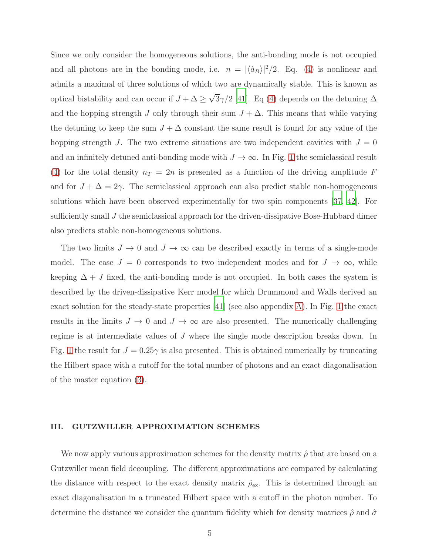Since we only consider the homogeneous solutions, the anti-bonding mode is not occupied and all photons are in the bonding mode, i.e.  $n = |\langle \hat{a}_B \rangle|^2/2$ . Eq. [\(4\)](#page-3-1) is nonlinear and admits a maximal of three solutions of which two are dynamically stable. This is known as optical bistability and can occur if  $J + \Delta \geq \sqrt{3}\gamma/2$  [\[41\]](#page-23-5). Eq [\(4\)](#page-3-1) depends on the detuning  $\Delta$ and the hopping strength J only through their sum  $J + \Delta$ . This means that while varying the detuning to keep the sum  $J + \Delta$  constant the same result is found for any value of the hopping strength J. The two extreme situations are two independent cavities with  $J = 0$ and an infinitely detuned anti-bonding mode with  $J \to \infty$ . In Fig. [1](#page-5-0) the semiclassical result [\(4\)](#page-3-1) for the total density  $n_T = 2n$  is presented as a function of the driving amplitude F and for  $J + \Delta = 2\gamma$ . The semiclassical approach can also predict stable non-homogeneous solutions which have been observed experimentally for two spin components [\[37,](#page-23-1) [42](#page-23-6)]. For sufficiently small J the semiclassical approach for the driven-dissipative Bose-Hubbard dimer also predicts stable non-homogeneous solutions.

The two limits  $J \to 0$  and  $J \to \infty$  can be described exactly in terms of a single-mode model. The case  $J = 0$  corresponds to two independent modes and for  $J \to \infty$ , while keeping  $\Delta + J$  fixed, the anti-bonding mode is not occupied. In both cases the system is described by the driven-dissipative Kerr model for which Drummond and Walls derived an exact solution for the steady-state properties [\[41\]](#page-23-5) (see also appendix [A\)](#page-15-0). In Fig. [1](#page-5-0) the exact results in the limits  $J \to 0$  and  $J \to \infty$  are also presented. The numerically challenging regime is at intermediate values of J where the single mode description breaks down. In Fig. [1](#page-5-0) the result for  $J = 0.25\gamma$  is also presented. This is obtained numerically by truncating the Hilbert space with a cutoff for the total number of photons and an exact diagonalisation of the master equation [\(3\)](#page-3-2).

### III. GUTZWILLER APPROXIMATION SCHEMES

We now apply various approximation schemes for the density matrix  $\hat{\rho}$  that are based on a Gutzwiller mean field decoupling. The different approximations are compared by calculating the distance with respect to the exact density matrix  $\rho_{\text{ex}}$ . This is determined through an exact diagonalisation in a truncated Hilbert space with a cutoff in the photon number. To determine the distance we consider the quantum fidelity which for density matrices  $\hat{\rho}$  and  $\hat{\sigma}$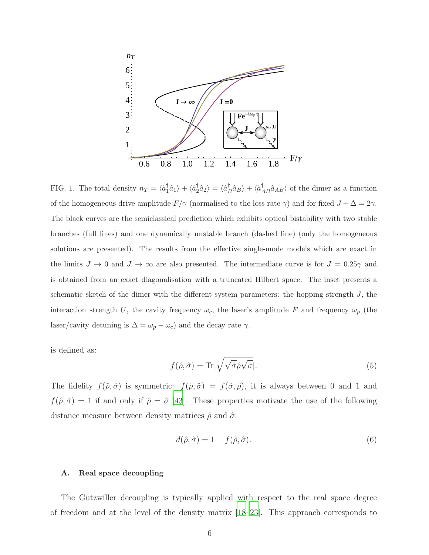

<span id="page-5-0"></span>FIG. 1. The total density  $n_T = \langle \hat{a}_1^{\dagger}$  $\langle \hat{a}_1 \rangle + \langle \hat{a}_2^\dagger \rangle$  $\langle \hat{a}_2 \rangle = \langle \hat{a}_L^{\dagger}$  $\hat{B}_{B}^{\dagger} \hat{a}_{B}^{\dagger} \rangle + \langle \hat{a}_{AB}^{\dagger} \hat{a}_{AB} \rangle$  of the dimer as a function of the homogeneous drive amplitude  $F/\gamma$  (normalised to the loss rate  $\gamma$ ) and for fixed  $J + \Delta = 2\gamma$ . The black curves are the semiclassical prediction which exhibits optical bistability with two stable branches (full lines) and one dynamically unstable branch (dashed line) (only the homogeneous solutions are presented). The results from the effective single-mode models which are exact in the limits  $J \to 0$  and  $J \to \infty$  are also presented. The intermediate curve is for  $J = 0.25\gamma$  and is obtained from an exact diagonalisation with a truncated Hilbert space. The inset presents a schematic sketch of the dimer with the different system parameters: the hopping strength  $J$ , the interaction strength U, the cavity frequency  $\omega_c$ , the laser's amplitude F and frequency  $\omega_p$  (the laser/cavity detuning is  $\Delta = \omega_p - \omega_c$ ) and the decay rate  $\gamma$ .

is defined as:

$$
f(\hat{\rho}, \hat{\sigma}) = \text{Tr}[\sqrt{\sqrt{\hat{\sigma}} \hat{\rho} \sqrt{\hat{\sigma}}}].
$$
\n(5)

The fidelity  $f(\hat{\rho}, \hat{\sigma})$  is symmetric:  $f(\hat{\rho}, \hat{\sigma}) = f(\hat{\sigma}, \hat{\rho})$ , it is always between 0 and 1 and  $f(\hat{\rho}, \hat{\sigma}) = 1$  if and only if  $\hat{\rho} = \hat{\sigma}$  [43]. These properties motivate the use of the following distance measure between density matrices  $\hat{\rho}$  and  $\hat{\sigma}$ .

<span id="page-5-1"></span>
$$
d(\hat{\rho}, \hat{\sigma}) = 1 - f(\hat{\rho}, \hat{\sigma}).
$$
\n(6)

### A. Real space decoupling

The Gutzwiller decoupling is typically applied with respect to the real space degree of freedom and at the level of the density matrix [\[18](#page-22-6)[–23\]](#page-22-7). This approach corresponds to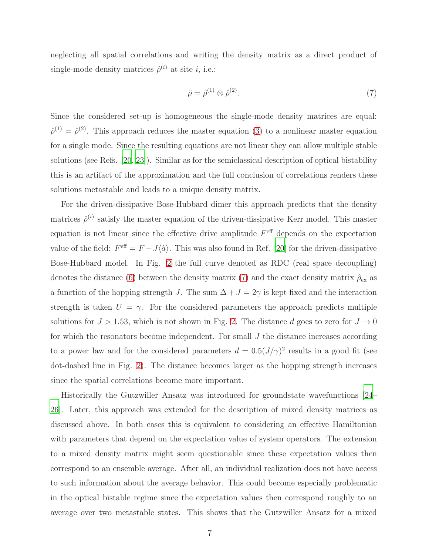neglecting all spatial correlations and writing the density matrix as a direct product of single-mode density matrices  $\hat{\rho}^{(i)}$  at site *i*, i.e.:

<span id="page-6-0"></span>
$$
\hat{\rho} = \hat{\rho}^{(1)} \otimes \hat{\rho}^{(2)}.\tag{7}
$$

Since the considered set-up is homogeneous the single-mode density matrices are equal:  $\hat{\rho}^{(1)} = \hat{\rho}^{(2)}$ . This approach reduces the master equation [\(3\)](#page-3-2) to a nonlinear master equation for a single mode. Since the resulting equations are not linear they can allow multiple stable solutions (see Refs. [\[20,](#page-22-15) [23\]](#page-22-7)). Similar as for the semiclassical description of optical bistability this is an artifact of the approximation and the full conclusion of correlations renders these solutions metastable and leads to a unique density matrix.

For the driven-dissipative Bose-Hubbard dimer this approach predicts that the density matrices  $\hat{\rho}^{(i)}$  satisfy the master equation of the driven-dissipative Kerr model. This master equation is not linear since the effective drive amplitude  $F<sup>eff</sup>$  depends on the expectation value of the field:  $F^{\text{eff}} = F - J\langle \hat{a} \rangle$ . This was also found in Ref. [\[20\]](#page-22-15) for the driven-dissipative Bose-Hubbard model. In Fig. [2](#page-7-0) the full curve denoted as RDC (real space decoupling) denotes the distance [\(6\)](#page-5-1) between the density matrix [\(7\)](#page-6-0) and the exact density matrix  $\hat{\rho}_{\text{ex}}$  as a function of the hopping strength J. The sum  $\Delta + J = 2\gamma$  is kept fixed and the interaction strength is taken  $U = \gamma$ . For the considered parameters the approach predicts multiple solutions for  $J > 1.53$ , which is not shown in Fig. [2.](#page-7-0) The distance d goes to zero for  $J \to 0$ for which the resonators become independent. For small J the distance increases according to a power law and for the considered parameters  $d = 0.5 (J/\gamma)^2$  results in a good fit (see dot-dashed line in Fig. [2\)](#page-7-0). The distance becomes larger as the hopping strength increases since the spatial correlations become more important.

Historically the Gutzwiller Ansatz was introduced for groundstate wavefunctions [\[24](#page-22-8)– [26\]](#page-22-10). Later, this approach was extended for the description of mixed density matrices as discussed above. In both cases this is equivalent to considering an effective Hamiltonian with parameters that depend on the expectation value of system operators. The extension to a mixed density matrix might seem questionable since these expectation values then correspond to an ensemble average. After all, an individual realization does not have access to such information about the average behavior. This could become especially problematic in the optical bistable regime since the expectation values then correspond roughly to an average over two metastable states. This shows that the Gutzwiller Ansatz for a mixed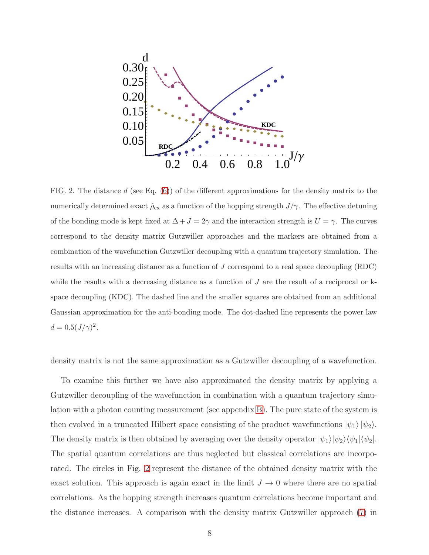

<span id="page-7-0"></span>FIG. 2. The distance d (see Eq.  $(6)$ ) of the different approximations for the density matrix to the numerically determined exact  $\hat{\rho}_{\text{ex}}$  as a function of the hopping strength  $J/\gamma$ . The effective detuning of the bonding mode is kept fixed at  $\Delta + J = 2\gamma$  and the interaction strength is  $U = \gamma$ . The curves correspond to the density matrix Gutzwiller approaches and the markers are obtained from a combination of the wavefunction Gutzwiller decoupling with a quantum trajectory simulation. The results with an increasing distance as a function of J correspond to a real space decoupling (RDC) while the results with a decreasing distance as a function of  $J$  are the result of a reciprocal or  $k$ space decoupling (KDC). The dashed line and the smaller squares are obtained from an additional Gaussian approximation for the anti-bonding mode. The dot-dashed line represents the power law  $d = 0.5 (J/\gamma)^2$ .

density matrix is not the same approximation as a Gutzwiller decoupling of a wavefunction.

To examine this further we have also approximated the density matrix by applying a Gutzwiller decoupling of the wavefunction in combination with a quantum trajectory simulation with a photon counting measurement (see appendix [B\)](#page-16-0). The pure state of the system is then evolved in a truncated Hilbert space consisting of the product wavefunctions  $|\psi_1\rangle |\psi_2\rangle$ . The density matrix is then obtained by averaging over the density operator  $|\psi_1\rangle|\psi_2\rangle\langle\psi_1|\langle\psi_2|$ . The spatial quantum correlations are thus neglected but classical correlations are incorporated. The circles in Fig. [2](#page-7-0) represent the distance of the obtained density matrix with the exact solution. This approach is again exact in the limit  $J \to 0$  where there are no spatial correlations. As the hopping strength increases quantum correlations become important and the distance increases. A comparison with the density matrix Gutzwiller approach [\(7\)](#page-6-0) in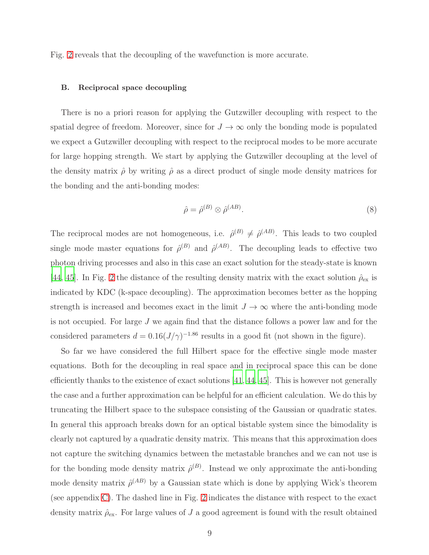Fig. [2](#page-7-0) reveals that the decoupling of the wavefunction is more accurate.

### B. Reciprocal space decoupling

There is no a priori reason for applying the Gutzwiller decoupling with respect to the spatial degree of freedom. Moreover, since for  $J \to \infty$  only the bonding mode is populated we expect a Gutzwiller decoupling with respect to the reciprocal modes to be more accurate for large hopping strength. We start by applying the Gutzwiller decoupling at the level of the density matrix  $\hat{\rho}$  by writing  $\hat{\rho}$  as a direct product of single mode density matrices for the bonding and the anti-bonding modes:

<span id="page-8-0"></span>
$$
\hat{\rho} = \hat{\rho}^{(B)} \otimes \hat{\rho}^{(AB)}.
$$
\n(8)

The reciprocal modes are not homogeneous, i.e.  $\hat{\rho}^{(B)} \neq \hat{\rho}^{(AB)}$ . This leads to two coupled single mode master equations for  $\hat{\rho}^{(B)}$  and  $\hat{\rho}^{(AB)}$ . The decoupling leads to effective two photon driving processes and also in this case an exact solution for the steady-state is known [\[44](#page-23-7), [45\]](#page-23-8). In Fig. [2](#page-7-0) the distance of the resulting density matrix with the exact solution  $\rho_{\text{ex}}$  is indicated by KDC (k-space decoupling). The approximation becomes better as the hopping strength is increased and becomes exact in the limit  $J \to \infty$  where the anti-bonding mode is not occupied. For large J we again find that the distance follows a power law and for the considered parameters  $d = 0.16(J/\gamma)^{-1.86}$  results in a good fit (not shown in the figure).

So far we have considered the full Hilbert space for the effective single mode master equations. Both for the decoupling in real space and in reciprocal space this can be done efficiently thanks to the existence of exact solutions [\[41](#page-23-5), [44,](#page-23-7) [45](#page-23-8)]. This is however not generally the case and a further approximation can be helpful for an efficient calculation. We do this by truncating the Hilbert space to the subspace consisting of the Gaussian or quadratic states. In general this approach breaks down for an optical bistable system since the bimodality is clearly not captured by a quadratic density matrix. This means that this approximation does not capture the switching dynamics between the metastable branches and we can not use is for the bonding mode density matrix  $\hat{\rho}^{(B)}$ . Instead we only approximate the anti-bonding mode density matrix  $\hat{\rho}^{(AB)}$  by a Gaussian state which is done by applying Wick's theorem (see appendix [C\)](#page-17-0). The dashed line in Fig. [2](#page-7-0) indicates the distance with respect to the exact density matrix  $\rho_{\text{ex}}$ . For large values of J a good agreement is found with the result obtained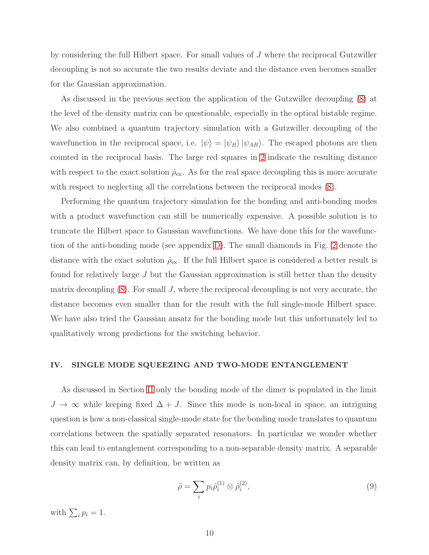by considering the full Hilbert space. For small values of J where the reciprocal Gutzwiller decoupling is not so accurate the two results deviate and the distance even becomes smaller for the Gaussian approximation.

As discussed in the previous section the application of the Gutzwiller decoupling [\(8\)](#page-8-0) at the level of the density matrix can be questionable, especially in the optical bistable regime. We also combined a quantum trajectory simulation with a Gutzwiller decoupling of the wavefunction in the reciprocal space, i.e.  $|\psi\rangle = |\psi_B\rangle |\psi_{AB}\rangle$ . The escaped photons are then counted in the reciprocal basis. The large red squares in [2](#page-7-0) indicate the resulting distance with respect to the exact solution  $\rho_{\text{ex}}$ . As for the real space decoupling this is more accurate with respect to neglecting all the correlations between the reciprocal modes [\(8\)](#page-8-0).

Performing the quantum trajectory simulation for the bonding and anti-bonding modes with a product wavefunction can still be numerically expensive. A possible solution is to truncate the Hilbert space to Gaussian wavefunctions. We have done this for the wavefunction of the anti-bonding mode (see appendix [D\)](#page-18-0). The small diamonds in Fig. [2](#page-7-0) denote the distance with the exact solution  $\rho_{\text{ex}}$ . If the full Hilbert space is considered a better result is found for relatively large J but the Gaussian approximation is still better than the density matrix decoupling  $(8)$ . For small J, where the reciprocal decoupling is not very accurate, the distance becomes even smaller than for the result with the full single-mode Hilbert space. We have also tried the Gaussian ansatz for the bonding mode but this unfortunately led to qualitatively wrong predictions for the switching behavior.

### IV. SINGLE MODE SQUEEZING AND TWO-MODE ENTANGLEMENT

As discussed in Section [II](#page-2-0) only the bonding mode of the dimer is populated in the limit  $J \to \infty$  while keeping fixed  $\Delta + J$ . Since this mode is non-local in space, an intriguing question is how a non-classical single-mode state for the bonding mode translates to quantum correlations between the spatially separated resonators. In particular we wonder whether this can lead to entanglement corresponding to a non-separable density matrix. A separable density matrix can, by definition, be written as

<span id="page-9-0"></span>
$$
\hat{\rho} = \sum_{i} p_i \hat{\rho}_i^{(1)} \otimes \hat{\rho}_i^{(2)},\tag{9}
$$

with  $\sum_i p_i = 1$ .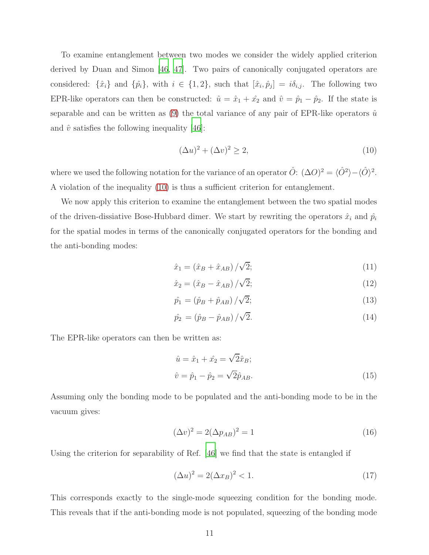To examine entanglement between two modes we consider the widely applied criterion derived by Duan and Simon [\[46](#page-23-9), [47](#page-23-10)]. Two pairs of canonically conjugated operators are considered:  $\{\hat{x}_i\}$  and  $\{\hat{p}_i\}$ , with  $i \in \{1, 2\}$ , such that  $[\hat{x}_i, \hat{p}_j] = i\delta_{i,j}$ . The following two EPR-like operators can then be constructed:  $\hat{u} = \hat{x}_1 + \hat{x}_2$  and  $\hat{v} = \hat{p}_1 - \hat{p}_2$ . If the state is separable and can be written as  $(9)$  the total variance of any pair of EPR-like operators  $\hat{u}$ and  $\hat{v}$  satisfies the following inequality [\[46\]](#page-23-9):

<span id="page-10-0"></span>
$$
(\Delta u)^2 + (\Delta v)^2 \ge 2,\tag{10}
$$

where we used the following notation for the variance of an operator  $\hat{O}$ :  $(\Delta O)^2 = \langle \hat{O}^2 \rangle - \langle \hat{O} \rangle^2$ . A violation of the inequality [\(10\)](#page-10-0) is thus a sufficient criterion for entanglement.

We now apply this criterion to examine the entanglement between the two spatial modes of the driven-dissiative Bose-Hubbard dimer. We start by rewriting the operators  $\hat{x}_i$  and  $\hat{p}_i$ for the spatial modes in terms of the canonically conjugated operators for the bonding and the anti-bonding modes:

$$
\hat{x}_1 = (\hat{x}_B + \hat{x}_{AB}) / \sqrt{2};\tag{11}
$$

$$
\hat{x}_2 = (\hat{x}_B - \hat{x}_{AB}) / \sqrt{2};
$$
\n(12)

$$
\hat{p}_1 = (\hat{p}_B + \hat{p}_{AB}) / \sqrt{2};\tag{13}
$$

$$
\hat{p}_2 = (\hat{p}_B - \hat{p}_{AB}) / \sqrt{2}.
$$
\n(14)

The EPR-like operators can then be written as:

<span id="page-10-1"></span>
$$
\hat{u} = \hat{x}_1 + \hat{x}_2 = \sqrt{2}\hat{x}_B; \n\hat{v} = \hat{p}_1 - \hat{p}_2 = \sqrt{2}\hat{p}_{AB}.
$$
\n(15)

Assuming only the bonding mode to be populated and the anti-bonding mode to be in the vacuum gives:

$$
(\Delta v)^2 = 2(\Delta p_{AB})^2 = 1\tag{16}
$$

Using the criterion for separability of Ref. [\[46](#page-23-9)] we find that the state is entangled if

$$
(\Delta u)^2 = 2(\Delta x_B)^2 < 1. \tag{17}
$$

This corresponds exactly to the single-mode squeezing condition for the bonding mode. This reveals that if the anti-bonding mode is not populated, squeezing of the bonding mode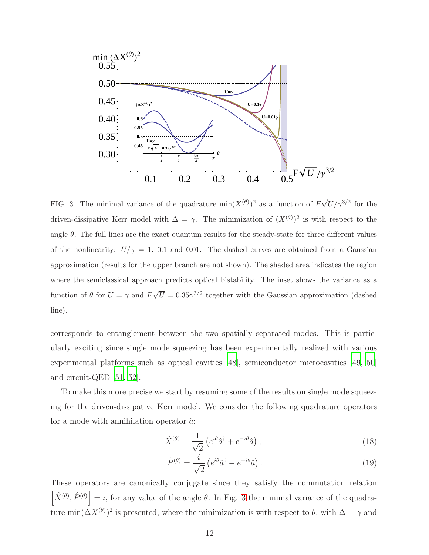

<span id="page-11-0"></span>FIG. 3. The minimal variance of the quadrature  $\min(X^{(\theta)})^2$  as a function of  $F\sqrt{U}/\gamma^{3/2}$  for the driven-dissipative Kerr model with  $\Delta = \gamma$ . The minimization of  $(X^{(\theta)})^2$  is with respect to the angle  $\theta$ . The full lines are the exact quantum results for the steady-state for three different values of the nonlinearity:  $U/\gamma = 1$ , 0.1 and 0.01. The dashed curves are obtained from a Gaussian approximation (results for the upper branch are not shown). The shaded area indicates the region where the semiclassical approach predicts optical bistability. The inset shows the variance as a function of  $\theta$  for  $U = \gamma$  and  $F\sqrt{U} = 0.35\gamma^{3/2}$  together with the Gaussian approximation (dashed line).

corresponds to entanglement between the two spatially separated modes. This is particularly exciting since single mode squeezing has been experimentally realized with various experimental platforms such as optical cavities [\[48\]](#page-23-11), semiconductor microcavities [\[49,](#page-23-12) [50\]](#page-23-13) and circuit-QED [\[51](#page-23-14), [52\]](#page-24-0).

To make this more precise we start by resuming some of the results on single mode squeezing for the driven-dissipative Kerr model. We consider the following quadrature operators for a mode with annihilation operator  $\hat{a}$ :

$$
\hat{X}^{(\theta)} = \frac{1}{\sqrt{2}} \left( e^{i\theta} \hat{a}^\dagger + e^{-i\theta} \hat{a} \right); \tag{18}
$$

$$
\hat{P}^{(\theta)} = \frac{i}{\sqrt{2}} \left( e^{i\theta} \hat{a}^\dagger - e^{-i\theta} \hat{a} \right). \tag{19}
$$

These operators are canonically conjugate since they satisfy the commutation relation  $\left[\hat{X}^{(\theta)}, \hat{P}^{(\theta)}\right] = i$ , for any value of the angle  $\theta$ . In Fig. [3](#page-11-0) the minimal variance of the quadrature min $(\Delta X^{(\theta)})^2$  is presented, where the minimization is with respect to  $\theta$ , with  $\Delta = \gamma$  and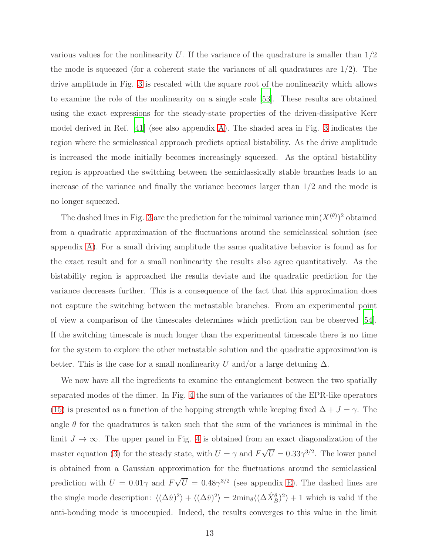various values for the nonlinearity U. If the variance of the quadrature is smaller than  $1/2$ the mode is squeezed (for a coherent state the variances of all quadratures are  $1/2$ ). The drive amplitude in Fig. [3](#page-11-0) is rescaled with the square root of the nonlinearity which allows to examine the role of the nonlinearity on a single scale [\[53\]](#page-24-1). These results are obtained using the exact expressions for the steady-state properties of the driven-dissipative Kerr model derived in Ref. [\[41\]](#page-23-5) (see also appendix [A\)](#page-15-0). The shaded area in Fig. [3](#page-11-0) indicates the region where the semiclassical approach predicts optical bistability. As the drive amplitude is increased the mode initially becomes increasingly squeezed. As the optical bistability region is approached the switching between the semiclassically stable branches leads to an increase of the variance and finally the variance becomes larger than  $1/2$  and the mode is no longer squeezed.

The dashed lines in Fig. [3](#page-11-0) are the prediction for the minimal variance  $\min(X^{(\theta)})^2$  obtained from a quadratic approximation of the fluctuations around the semiclassical solution (see appendix [A\)](#page-15-0). For a small driving amplitude the same qualitative behavior is found as for the exact result and for a small nonlinearity the results also agree quantitatively. As the bistability region is approached the results deviate and the quadratic prediction for the variance decreases further. This is a consequence of the fact that this approximation does not capture the switching between the metastable branches. From an experimental point of view a comparison of the timescales determines which prediction can be observed [\[54\]](#page-24-2). If the switching timescale is much longer than the experimental timescale there is no time for the system to explore the other metastable solution and the quadratic approximation is better. This is the case for a small nonlinearity U and/or a large detuning  $\Delta$ .

We now have all the ingredients to examine the entanglement between the two spatially separated modes of the dimer. In Fig. [4](#page-13-0) the sum of the variances of the EPR-like operators [\(15\)](#page-10-1) is presented as a function of the hopping strength while keeping fixed  $\Delta + J = \gamma$ . The angle  $\theta$  for the quadratures is taken such that the sum of the variances is minimal in the limit  $J \to \infty$ . The upper panel in Fig. [4](#page-13-0) is obtained from an exact diagonalization of the master equation [\(3\)](#page-3-2) for the steady state, with  $U = \gamma$  and  $F\sqrt{U} = 0.33\gamma^{3/2}$ . The lower panel is obtained from a Gaussian approximation for the fluctuations around the semiclassical prediction with  $U = 0.01\gamma$  and  $F\sqrt{U} = 0.48\gamma^{3/2}$  (see appendix [E\)](#page-20-0). The dashed lines are the single mode description:  $\langle (\Delta \hat{u})^2 \rangle + \langle (\Delta \hat{v})^2 \rangle = 2m i n_\theta \langle (\Delta \hat{X}^\theta_B)^2 \rangle + 1$  which is valid if the anti-bonding mode is unoccupied. Indeed, the results converges to this value in the limit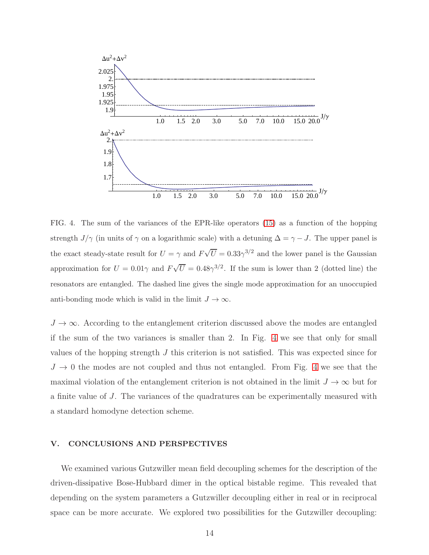

<span id="page-13-0"></span>FIG. 4. The sum of the variances of the EPR-like operators [\(15\)](#page-10-1) as a function of the hopping strength  $J/\gamma$  (in units of  $\gamma$  on a logarithmic scale) with a detuning  $\Delta = \gamma - J$ . The upper panel is the exact steady-state result for  $U = \gamma$  and  $F\sqrt{U} = 0.33\gamma^{3/2}$  and the lower panel is the Gaussian approximation for  $U = 0.01\gamma$  and  $F\sqrt{U} = 0.48\gamma^{3/2}$ . If the sum is lower than 2 (dotted line) the resonators are entangled. The dashed line gives the single mode approximation for an unoccupied anti-bonding mode which is valid in the limit  $J \to \infty$ .

 $J \to \infty$ . According to the entanglement criterion discussed above the modes are entangled if the sum of the two variances is smaller than 2. In Fig. [4](#page-13-0) we see that only for small values of the hopping strength  $J$  this criterion is not satisfied. This was expected since for  $J \rightarrow 0$  the modes are not coupled and thus not entangled. From Fig. [4](#page-13-0) we see that the maximal violation of the entanglement criterion is not obtained in the limit  $J \to \infty$  but for a finite value of J. The variances of the quadratures can be experimentally measured with a standard homodyne detection scheme.

### V. CONCLUSIONS AND PERSPECTIVES

We examined various Gutzwiller mean field decoupling schemes for the description of the driven-dissipative Bose-Hubbard dimer in the optical bistable regime. This revealed that depending on the system parameters a Gutzwiller decoupling either in real or in reciprocal space can be more accurate. We explored two possibilities for the Gutzwiller decoupling: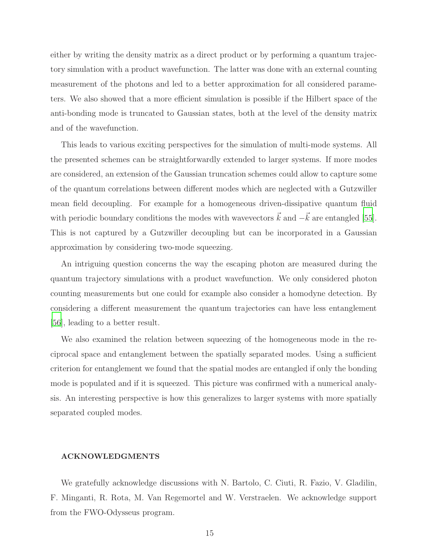either by writing the density matrix as a direct product or by performing a quantum trajectory simulation with a product wavefunction. The latter was done with an external counting measurement of the photons and led to a better approximation for all considered parameters. We also showed that a more efficient simulation is possible if the Hilbert space of the anti-bonding mode is truncated to Gaussian states, both at the level of the density matrix and of the wavefunction.

This leads to various exciting perspectives for the simulation of multi-mode systems. All the presented schemes can be straightforwardly extended to larger systems. If more modes are considered, an extension of the Gaussian truncation schemes could allow to capture some of the quantum correlations between different modes which are neglected with a Gutzwiller mean field decoupling. For example for a homogeneous driven-dissipative quantum fluid with periodic boundary conditions the modes with wavevectors  $\vec{k}$  and  $-\vec{k}$  are entangled [\[55\]](#page-24-3). This is not captured by a Gutzwiller decoupling but can be incorporated in a Gaussian approximation by considering two-mode squeezing.

An intriguing question concerns the way the escaping photon are measured during the quantum trajectory simulations with a product wavefunction. We only considered photon counting measurements but one could for example also consider a homodyne detection. By considering a different measurement the quantum trajectories can have less entanglement [\[56\]](#page-24-4), leading to a better result.

We also examined the relation between squeezing of the homogeneous mode in the reciprocal space and entanglement between the spatially separated modes. Using a sufficient criterion for entanglement we found that the spatial modes are entangled if only the bonding mode is populated and if it is squeezed. This picture was confirmed with a numerical analysis. An interesting perspective is how this generalizes to larger systems with more spatially separated coupled modes.

### ACKNOWLEDGMENTS

We gratefully acknowledge discussions with N. Bartolo, C. Ciuti, R. Fazio, V. Gladilin, F. Minganti, R. Rota, M. Van Regemortel and W. Verstraelen. We acknowledge support from the FWO-Odysseus program.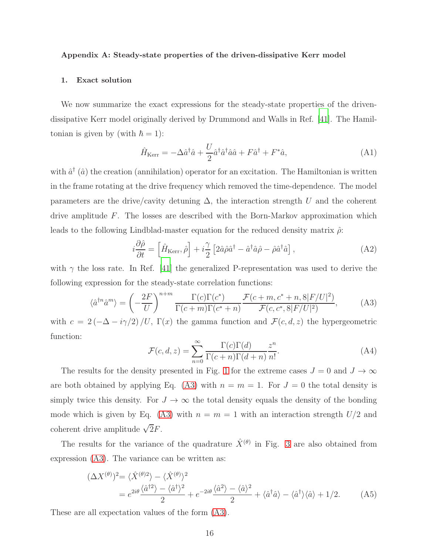### <span id="page-15-0"></span>Appendix A: Steady-state properties of the driven-dissipative Kerr model

### 1. Exact solution

We now summarize the exact expressions for the steady-state properties of the drivendissipative Kerr model originally derived by Drummond and Walls in Ref. [\[41](#page-23-5)]. The Hamiltonian is given by (with  $\hbar = 1$ ):

$$
\hat{H}_{\text{Kerr}} = -\Delta \hat{a}^{\dagger} \hat{a} + \frac{U}{2} \hat{a}^{\dagger} \hat{a}^{\dagger} \hat{a} \hat{a} + F \hat{a}^{\dagger} + F^* \hat{a},\tag{A1}
$$

with  $\hat{a}^{\dagger}(\hat{a})$  the creation (annihilation) operator for an excitation. The Hamiltonian is written in the frame rotating at the drive frequency which removed the time-dependence. The model parameters are the drive/cavity detuning  $\Delta$ , the interaction strength U and the coherent drive amplitude F. The losses are described with the Born-Markov approximation which leads to the following Lindblad-master equation for the reduced density matrix  $\hat{\rho}$ :

$$
i\frac{\partial \hat{\rho}}{\partial t} = \left[\hat{H}_{\text{Kerr}}, \hat{\rho}\right] + i\frac{\gamma}{2} \left[2\hat{a}\hat{\rho}\hat{a}^{\dagger} - \hat{a}^{\dagger}\hat{a}\hat{\rho} - \hat{\rho}\hat{a}^{\dagger}\hat{a}\right],\tag{A2}
$$

with  $\gamma$  the loss rate. In Ref. [\[41\]](#page-23-5) the generalized P-representation was used to derive the following expression for the steady-state correlation functions:

<span id="page-15-1"></span>
$$
\langle \hat{a}^{\dagger n} \hat{a}^{m} \rangle = \left( -\frac{2F}{U} \right)^{n+m} \frac{\Gamma(c)\Gamma(c^{*})}{\Gamma(c+m)\Gamma(c^{*}+n)} \frac{\mathcal{F}(c+m, c^{*}+n, 8|F/U|^{2})}{\mathcal{F}(c, c^{*}, 8|F/U|^{2})}, \tag{A3}
$$

with  $c = 2(-\Delta - i\gamma/2)/U$ ,  $\Gamma(x)$  the gamma function and  $\mathcal{F}(c, d, z)$  the hypergeometric function:

$$
\mathcal{F}(c,d,z) = \sum_{n=0}^{\infty} \frac{\Gamma(c)\Gamma(d)}{\Gamma(c+n)\Gamma(d+n)} \frac{z^n}{n!}.
$$
\n(A4)

The results for the density presented in Fig. [1](#page-5-0) for the extreme cases  $J = 0$  and  $J \to \infty$ are both obtained by applying Eq. [\(A3\)](#page-15-1) with  $n = m = 1$ . For  $J = 0$  the total density is simply twice this density. For  $J \to \infty$  the total density equals the density of the bonding mode which is given by Eq. [\(A3\)](#page-15-1) with  $n = m = 1$  with an interaction strength  $U/2$  and coherent drive amplitude  $\sqrt{2}F$ .

The results for the variance of the quadrature  $\hat{X}^{(\theta)}$  in Fig. [3](#page-11-0) are also obtained from expression [\(A3\)](#page-15-1). The variance can be written as:

<span id="page-15-2"></span>
$$
(\Delta X^{(\theta)})^2 = \langle \hat{X}^{(\theta)2} \rangle - \langle \hat{X}^{(\theta)} \rangle^2
$$
  
=  $e^{2i\theta} \frac{\langle \hat{a}^{(\theta)} \rangle - \langle \hat{a}^{\dagger} \rangle^2}{2} + e^{-2i\theta} \frac{\langle \hat{a}^2 \rangle - \langle \hat{a} \rangle^2}{2} + \langle \hat{a}^{\dagger} \hat{a} \rangle - \langle \hat{a}^{\dagger} \rangle \langle \hat{a} \rangle + 1/2.$  (A5)

These are all expectation values of the form [\(A3\)](#page-15-1).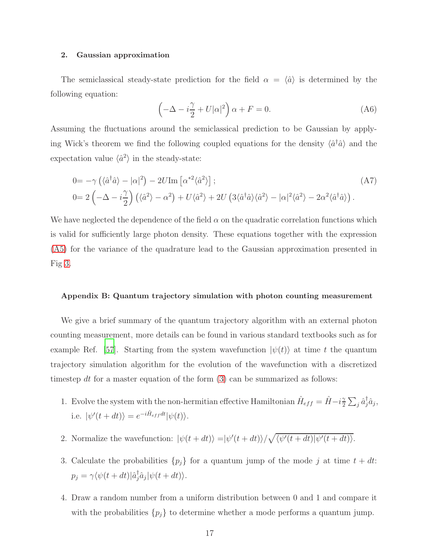### 2. Gaussian approximation

The semiclassical steady-state prediction for the field  $\alpha = \langle \hat{a} \rangle$  is determined by the following equation:

$$
\left(-\Delta - i\frac{\gamma}{2} + U|\alpha|^2\right)\alpha + F = 0.
$$
\n(A6)

Assuming the fluctuations around the semiclassical prediction to be Gaussian by applying Wick's theorem we find the following coupled equations for the density  $\langle \hat{a}^{\dagger} \hat{a} \rangle$  and the expectation value  $\langle \hat{a}^2 \rangle$  in the steady-state:

$$
0 = -\gamma \left( \langle \hat{a}^{\dagger} \hat{a} \rangle - |\alpha|^{2} \right) - 2U \text{Im} \left[ \alpha^{*2} \langle \hat{a}^{2} \rangle \right];
$$
\n
$$
0 = 2 \left( -\Delta - i\frac{\gamma}{2} \right) \left( \langle \hat{a}^{2} \rangle - \alpha^{2} \right) + U \langle \hat{a}^{2} \rangle + 2U \left( 3 \langle \hat{a}^{\dagger} \hat{a} \rangle \langle \hat{a}^{2} \rangle - |\alpha|^{2} \langle \hat{a}^{2} \rangle - 2 \alpha^{2} \langle \hat{a}^{\dagger} \hat{a} \rangle \right).
$$
\n(A7)

We have neglected the dependence of the field  $\alpha$  on the quadratic correlation functions which is valid for sufficiently large photon density. These equations together with the expression [\(A5\)](#page-15-2) for the variance of the quadrature lead to the Gaussian approximation presented in Fig [3.](#page-11-0)

### <span id="page-16-0"></span>Appendix B: Quantum trajectory simulation with photon counting measurement

We give a brief summary of the quantum trajectory algorithm with an external photon counting measurement, more details can be found in various standard textbooks such as for example Ref. [\[57\]](#page-24-5). Starting from the system wavefunction  $|\psi(t)\rangle$  at time t the quantum trajectory simulation algorithm for the evolution of the wavefunction with a discretized timestep dt for a master equation of the form  $(3)$  can be summarized as follows:

- 1. Evolve the system with the non-hermitian effective Hamiltonian  $\hat{H}_{eff} = \hat{H} i\frac{\gamma}{2}$  $\frac{\gamma}{2} \sum_j \hat{a}^\dagger_j \hat{a}_j,$ i.e.  $|\psi'(t+dt)\rangle = e^{-i\hat{H}_{eff}dt}|\psi(t)\rangle$ .
- 2. Normalize the wavefunction:  $|\psi(t+dt)\rangle = |\psi'(t+dt)\rangle / \sqrt{\langle \psi'(t+dt)|\psi'(t+dt)\rangle}$ .
- 3. Calculate the probabilities  $\{p_j\}$  for a quantum jump of the mode j at time  $t + dt$ :  $p_j = \gamma \langle \psi(t + dt) | \hat{a}_j^{\dagger}$  $\int_{j}^{\infty} \hat{a}_j |\psi(t+dt)\rangle.$
- 4. Draw a random number from a uniform distribution between 0 and 1 and compare it with the probabilities  $\{p_j\}$  to determine whether a mode performs a quantum jump.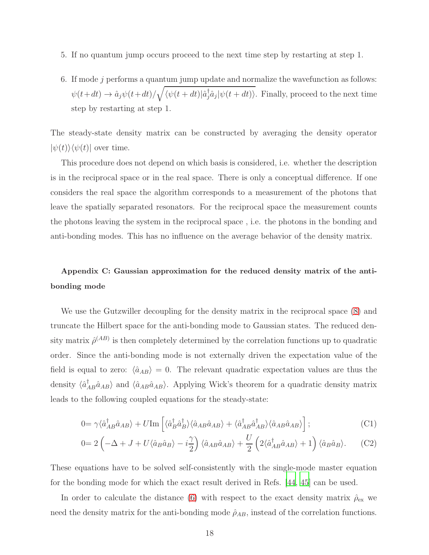- 5. If no quantum jump occurs proceed to the next time step by restarting at step 1.
- 6. If mode j performs a quantum jump update and normalize the wavefunction as follows:  $\psi(t+dt) \to \hat{a}_j \psi(t+dt) / \sqrt{\langle \psi(t+dt) | \hat{a}_j^{\dagger} \hat{a}_j | \psi(t+dt) \rangle}$ . Finally, proceed to the next time step by restarting at step 1.

The steady-state density matrix can be constructed by averaging the density operator  $|\psi(t)\rangle\langle\psi(t)|$  over time.

This procedure does not depend on which basis is considered, i.e. whether the description is in the reciprocal space or in the real space. There is only a conceptual difference. If one considers the real space the algorithm corresponds to a measurement of the photons that leave the spatially separated resonators. For the reciprocal space the measurement counts the photons leaving the system in the reciprocal space , i.e. the photons in the bonding and anti-bonding modes. This has no influence on the average behavior of the density matrix.

## <span id="page-17-0"></span>Appendix C: Gaussian approximation for the reduced density matrix of the antibonding mode

We use the Gutzwiller decoupling for the density matrix in the reciprocal space [\(8\)](#page-8-0) and truncate the Hilbert space for the anti-bonding mode to Gaussian states. The reduced density matrix  $\hat{\rho}^{(AB)}$  is then completely determined by the correlation functions up to quadratic order. Since the anti-bonding mode is not externally driven the expectation value of the field is equal to zero:  $\langle \hat{a}_{AB} \rangle = 0$ . The relevant quadratic expectation values are thus the density  $\langle \hat{a}_{AB}^{\dagger} \hat{a}_{AB} \rangle$  and  $\langle \hat{a}_{AB} \hat{a}_{AB} \rangle$ . Applying Wick's theorem for a quadratic density matrix leads to the following coupled equations for the steady-state:

$$
0 = \gamma \langle \hat{a}_{AB}^{\dagger} \hat{a}_{AB} \rangle + U \text{Im} \left[ \langle \hat{a}_{B}^{\dagger} \hat{a}_{B}^{\dagger} \rangle \langle \hat{a}_{AB} \hat{a}_{AB} \rangle + \langle \hat{a}_{AB}^{\dagger} \hat{a}_{AB}^{\dagger} \rangle \langle \hat{a}_{AB} \hat{a}_{AB} \rangle \right]; \tag{C1}
$$

$$
0=2\left(-\Delta+J+U\langle\hat{a}_B\hat{a}_B\rangle-i\frac{\gamma}{2}\right)\langle\hat{a}_{AB}\hat{a}_{AB}\rangle+\frac{U}{2}\left(2\langle\hat{a}_{AB}^{\dagger}\hat{a}_{AB}\rangle+1\right)\langle\hat{a}_B\hat{a}_B\rangle.\tag{C2}
$$

These equations have to be solved self-consistently with the single-mode master equation for the bonding mode for which the exact result derived in Refs. [\[44,](#page-23-7) [45\]](#page-23-8) can be used.

In order to calculate the distance [\(6\)](#page-5-1) with respect to the exact density matrix  $\rho_{\text{ex}}$  we need the density matrix for the anti-bonding mode  $\hat{\rho}_{AB}$ , instead of the correlation functions.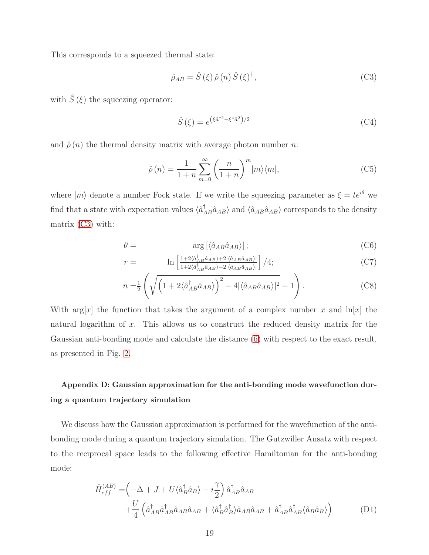This corresponds to a squeezed thermal state:

<span id="page-18-1"></span>
$$
\hat{\rho}_{AB} = \hat{S}(\xi)\,\hat{\rho}\,(n)\,\hat{S}(\xi)^{\dagger}\,,\tag{C3}
$$

with  $\hat{S}\left( \xi\right)$  the squeezing operator:

$$
\hat{S}\left(\xi\right) = e^{\left(\xi \hat{a}^{\dagger 2} - \xi^* \hat{a}^2\right)/2} \tag{C4}
$$

and  $\hat{\rho}(n)$  the thermal density matrix with average photon number n:

$$
\hat{\rho}(n) = \frac{1}{1+n} \sum_{m=0}^{\infty} \left(\frac{n}{1+n}\right)^m |m\rangle\langle m|,\tag{C5}
$$

where  $|m\rangle$  denote a number Fock state. If we write the squeezing parameter as  $\xi = te^{i\theta}$  we find that a state with expectation values  $\langle \hat{a}_{AB}^{\dagger} \hat{a}_{AB} \rangle$  and  $\langle \hat{a}_{AB} \hat{a}_{AB} \rangle$  corresponds to the density matrix [\(C3\)](#page-18-1) with:

$$
\theta = \arg\left[ \langle \hat{a}_{AB} \hat{a}_{AB} \rangle \right];\tag{C6}
$$

$$
r = \ln\left[\frac{1+2\langle \hat{a}_{AB}^{\dagger}\hat{a}_{AB}\rangle + 2|\langle \hat{a}_{AB}\hat{a}_{AB}\rangle|}{1+2\langle \hat{a}_{AB}^{\dagger}\hat{a}_{AB}\rangle - 2|\langle \hat{a}_{AB}\hat{a}_{AB}\rangle|}\right]/4;
$$
 (C7)

$$
n = \frac{1}{2} \left( \sqrt{\left(1 + 2\langle \hat{a}_{AB}^{\dagger} \hat{a}_{AB} \rangle\right)^2 - 4|\langle \hat{a}_{AB} \hat{a}_{AB} \rangle|^2} - 1 \right). \tag{C8}
$$

With  $\arg[x]$  the function that takes the argument of a complex number x and  $\ln[x]$  the natural logarithm of x. This allows us to construct the reduced density matrix for the Gaussian anti-bonding mode and calculate the distance [\(6\)](#page-5-1) with respect to the exact result, as presented in Fig. [2.](#page-7-0)

# <span id="page-18-0"></span>Appendix D: Gaussian approximation for the anti-bonding mode wavefunction during a quantum trajectory simulation

We discuss how the Gaussian approximation is performed for the wavefunction of the antibonding mode during a quantum trajectory simulation. The Gutzwiller Ansatz with respect to the reciprocal space leads to the following effective Hamiltonian for the anti-bonding mode:

<span id="page-18-2"></span>
$$
\hat{H}_{eff}^{(AB)} = \left(-\Delta + J + U\langle \hat{a}_B^\dagger \hat{a}_B \rangle - i\frac{\gamma}{2} \right) \hat{a}_{AB}^\dagger \hat{a}_{AB} \n+ \frac{U}{4} \left(\hat{a}_{AB}^\dagger \hat{a}_{AB}^\dagger \hat{a}_{AB} \hat{a}_{AB} + \langle \hat{a}_B^\dagger \hat{a}_B^\dagger \rangle \hat{a}_{AB} \hat{a}_{AB} + \hat{a}_{AB}^\dagger \hat{a}_{AB}^\dagger \langle \hat{a}_B \hat{a}_B \rangle \right)
$$
\n(D1)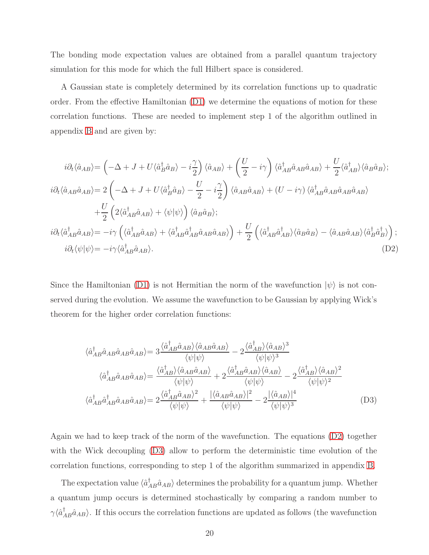The bonding mode expectation values are obtained from a parallel quantum trajectory simulation for this mode for which the full Hilbert space is considered.

A Gaussian state is completely determined by its correlation functions up to quadratic order. From the effective Hamiltonian [\(D1\)](#page-18-2) we determine the equations of motion for these correlation functions. These are needed to implement step 1 of the algorithm outlined in appendix [B](#page-16-0) and are given by:

<span id="page-19-0"></span>
$$
i\partial_t \langle \hat{a}_{AB} \rangle = \left( -\Delta + J + U \langle \hat{a}_B^{\dagger} \hat{a}_B \rangle - i \frac{\gamma}{2} \right) \langle \hat{a}_{AB} \rangle + \left( \frac{U}{2} - i \gamma \right) \langle \hat{a}_A^{\dagger} \hat{a}_B \hat{a}_{AB} \hat{a}_{AB} \rangle + \frac{U}{2} \langle \hat{a}_{AB}^{\dagger} \rangle \langle \hat{a}_B \hat{a}_B \rangle;
$$
  
\n
$$
i\partial_t \langle \hat{a}_{AB} \hat{a}_{AB} \rangle = 2 \left( -\Delta + J + U \langle \hat{a}_B^{\dagger} \hat{a}_B \rangle - \frac{U}{2} - i \frac{\gamma}{2} \right) \langle \hat{a}_{AB} \hat{a}_{AB} \rangle + (U - i \gamma) \langle \hat{a}_{AB}^{\dagger} \hat{a}_{AB} \hat{a}_{AB} \hat{a}_{AB} \rangle
$$
  
\n
$$
+ \frac{U}{2} \left( 2 \langle \hat{a}_A^{\dagger} \hat{a}_{AB} \hat{a}_{AB} \rangle + \langle \psi | \psi \rangle \right) \langle \hat{a}_B \hat{a}_B \rangle;
$$
  
\n
$$
i\partial_t \langle \hat{a}_A^{\dagger} \hat{a}_{AB} \hat{a}_{AB} \rangle = -i \gamma \left( \langle \hat{a}_A^{\dagger} \hat{a}_{AB} \hat{a}_{AB} \rangle + \langle \hat{a}_A^{\dagger} \hat{a}_{AB} \hat{a}_{AB} \hat{a}_{AB} \rangle \right) + \frac{U}{2} \left( \langle \hat{a}_A^{\dagger} \hat{a}_{AB} \rangle \langle \hat{a}_B \hat{a}_B \rangle - \langle \hat{a}_{AB} \hat{a}_{AB} \rangle \langle \hat{a}_B^{\dagger} \hat{a}_{AB} \rangle \right);
$$
  
\n
$$
i\partial_t \langle \psi | \psi \rangle = -i \gamma \langle \hat{a}_{AB}^{\dagger} \hat{a}_{AB} \hat{a}_{AB} \rangle.
$$
 (D2)

Since the Hamiltonian [\(D1\)](#page-18-2) is not Hermitian the norm of the wavefunction  $|\psi\rangle$  is not conserved during the evolution. We assume the wavefunction to be Gaussian by applying Wick's theorem for the higher order correlation functions:

<span id="page-19-1"></span>
$$
\langle \hat{a}_{AB}^{\dagger} \hat{a}_{AB} \hat{a}_{AB} \hat{a}_{AB} \rangle = 3 \frac{\langle \hat{a}_{AB}^{\dagger} \hat{a}_{AB} \rangle \langle \hat{a}_{AB} \hat{a}_{AB} \rangle}{\langle \psi | \psi \rangle} - 2 \frac{\langle \hat{a}_{AB}^{\dagger} \rangle \langle \hat{a}_{AB} \rangle^3}{\langle \psi | \psi \rangle^3}
$$

$$
\langle \hat{a}_{AB}^{\dagger} \hat{a}_{AB} \hat{a}_{AB} \hat{a}_{AB} \rangle = \frac{\langle \hat{a}_{AB}^{\dagger} \rangle \langle \hat{a}_{AB} \hat{a}_{AB} \rangle}{\langle \psi | \psi \rangle} + 2 \frac{\langle \hat{a}_{AB}^{\dagger} \hat{a}_{AB} \rangle \langle \hat{a}_{AB} \rangle}{\langle \psi | \psi \rangle} - 2 \frac{\langle \hat{a}_{AB}^{\dagger} \rangle \langle \hat{a}_{AB} \rangle^2}{\langle \psi | \psi \rangle^2}
$$

$$
\langle \hat{a}_{AB}^{\dagger} \hat{a}_{AB} \hat{a}_{AB} \hat{a}_{AB} \hat{a}_{AB} \rangle = 2 \frac{\langle \hat{a}_{AB}^{\dagger} \hat{a}_{AB} \rangle^2}{\langle \psi | \psi \rangle} + \frac{\langle \hat{a}_{AB} \hat{a}_{AB} \rangle^2}{\langle \psi | \psi \rangle} - 2 \frac{\langle \hat{a}_{AB} \rangle^4}{\langle \psi | \psi \rangle^3}
$$
(D3)

Again we had to keep track of the norm of the wavefunction. The equations [\(D2\)](#page-19-0) together with the Wick decoupling [\(D3\)](#page-19-1) allow to perform the deterministic time evolution of the correlation functions, corresponding to step 1 of the algorithm summarized in appendix [B.](#page-16-0)

The expectation value  $\langle \hat{a}_{AB}^{\dagger} \hat{a}_{AB} \rangle$  determines the probability for a quantum jump. Whether a quantum jump occurs is determined stochastically by comparing a random number to  $\gamma \langle \hat{a}_{AB}^{\dagger} \hat{a}_{AB} \rangle$ . If this occurs the correlation functions are updated as follows (the wavefunction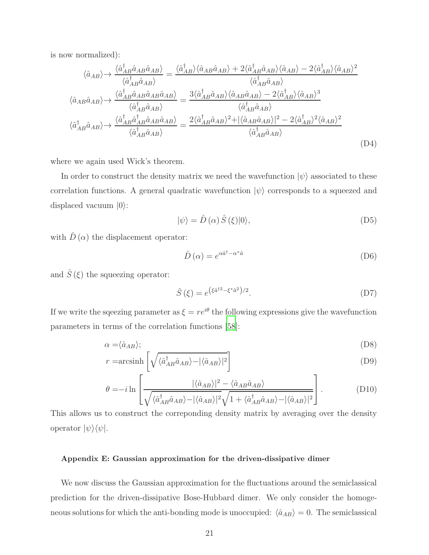is now normalized):

$$
\langle \hat{a}_{AB} \rangle \rightarrow \frac{\langle \hat{a}_{AB}^{\dagger} \hat{a}_{AB} \hat{a}_{AB} \rangle}{\langle \hat{a}_{AB}^{\dagger} \hat{a}_{AB} \rangle} = \frac{\langle \hat{a}_{AB}^{\dagger} \rangle \langle \hat{a}_{AB} \hat{a}_{AB} \rangle + 2 \langle \hat{a}_{AB}^{\dagger} \hat{a}_{AB} \rangle \langle \hat{a}_{AB} \rangle - 2 \langle \hat{a}_{AB}^{\dagger} \rangle \langle \hat{a}_{AB} \rangle^2}{\langle \hat{a}_{AB}^{\dagger} \hat{a}_{AB} \rangle}
$$

$$
\langle \hat{a}_{AB} \hat{a}_{AB} \rangle \rightarrow \frac{\langle \hat{a}_{AB}^{\dagger} \hat{a}_{AB} \hat{a}_{AB} \hat{a}_{AB} \rangle}{\langle \hat{a}_{AB}^{\dagger} \hat{a}_{AB} \rangle} = \frac{3 \langle \hat{a}_{AB}^{\dagger} \hat{a}_{AB} \rangle \langle \hat{a}_{AB} \hat{a}_{AB} \rangle - 2 \langle \hat{a}_{AB}^{\dagger} \rangle \langle \hat{a}_{AB} \rangle^3}{\langle \hat{a}_{AB}^{\dagger} \hat{a}_{AB} \rangle}
$$

$$
\langle \hat{a}_{AB}^{\dagger} \hat{a}_{AB} \rangle \rightarrow \frac{\langle \hat{a}_{AB}^{\dagger} \hat{a}_{AB} \hat{a}_{AB} \hat{a}_{AB} \rangle}{\langle \hat{a}_{AB}^{\dagger} \hat{a}_{AB} \rangle} = \frac{2 \langle \hat{a}_{AB}^{\dagger} \hat{a}_{AB} \rangle^2 + |\langle \hat{a}_{AB} \hat{a}_{AB} \rangle|^2 - 2 \langle \hat{a}_{AB}^{\dagger} \rangle^2 \langle \hat{a}_{AB} \rangle^2}{\langle \hat{a}_{AB}^{\dagger} \hat{a}_{AB} \rangle}
$$
(D4)

where we again used Wick's theorem.

In order to construct the density matrix we need the wavefunction  $|\psi\rangle$  associated to these correlation functions. A general quadratic wavefunction  $|\psi\rangle$  corresponds to a squeezed and displaced vacuum  $|0\rangle$ :

$$
|\psi\rangle = \hat{D}(\alpha)\,\hat{S}(\xi)|0\rangle,\tag{D5}
$$

with  $\hat{D}(\alpha)$  the displacement operator:

$$
\hat{D}\left(\alpha\right) = e^{\alpha \hat{a}^{\dagger} - \alpha^* \hat{a}} \tag{D6}
$$

and  $\hat{S}\left( \xi\right)$  the squeezing operator:

$$
\hat{S}(\xi) = e^{\left(\xi \hat{a}^{\dagger 2} - \xi^* \hat{a}^2\right)/2}.
$$
\n(D7)

If we write the sqeezing parameter as  $\xi = re^{i\theta}$  the following expressions give the wavefunction parameters in terms of the correlation functions [\[58](#page-24-6)]:

$$
\alpha = \langle \hat{a}_{AB} \rangle; \tag{D8}
$$

$$
r = \operatorname{arcsinh}\left[\sqrt{\langle \hat{a}_{AB}^{\dagger} \hat{a}_{AB} \rangle - |\langle \hat{a}_{AB} \rangle|^2}\right]
$$
(D9)

$$
\theta = -i \ln \left[ \frac{|\langle \hat{a}_{AB} \rangle|^2 - \langle \hat{a}_{AB} \hat{a}_{AB} \rangle}{\sqrt{\langle \hat{a}_{AB}^{\dagger} \hat{a}_{AB} \rangle - |\langle \hat{a}_{AB} \rangle|^2} \sqrt{1 + \langle \hat{a}_{AB}^{\dagger} \hat{a}_{AB} \rangle - |\langle \hat{a}_{AB} \rangle|^2}} \right].
$$
 (D10)

This allows us to construct the correponding density matrix by averaging over the density operator  $|\psi\rangle\langle\psi|$ .

### <span id="page-20-0"></span>Appendix E: Gaussian approximation for the driven-dissipative dimer

We now discuss the Gaussian approximation for the fluctuations around the semiclassical prediction for the driven-dissipative Bose-Hubbard dimer. We only consider the homogeneous solutions for which the anti-bonding mode is unoccupied:  $\langle \hat{a}_{AB} \rangle = 0$ . The semiclassical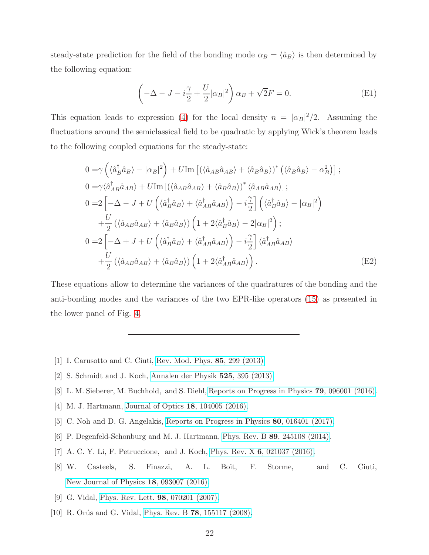steady-state prediction for the field of the bonding mode  $\alpha_B = \langle \hat{a}_B \rangle$  is then determined by the following equation:

$$
\left(-\Delta - J - i\frac{\gamma}{2} + \frac{U}{2}|\alpha_B|^2\right)\alpha_B + \sqrt{2}F = 0.
$$
\n(E1)

This equation leads to expression [\(4\)](#page-3-1) for the local density  $n = |\alpha_B|^2/2$ . Assuming the fluctuations around the semiclassical field to be quadratic by applying Wick's theorem leads to the following coupled equations for the steady-state:

$$
0 = \gamma \left( \langle \hat{a}_{B}^{\dagger} \hat{a}_{B} \rangle - |\alpha_{B}|^{2} \right) + U \text{Im} \left[ \left( \langle \hat{a}_{AB} \hat{a}_{AB} \rangle + \langle \hat{a}_{B} \hat{a}_{B} \rangle \right)^{*} \left( \langle \hat{a}_{B} \hat{a}_{B} \rangle - \alpha_{B}^{2} \right) \right];
$$
  
\n
$$
0 = \gamma \langle \hat{a}_{AB}^{\dagger} \hat{a}_{AB} \rangle + U \text{Im} \left[ \left( \langle \hat{a}_{AB} \hat{a}_{AB} \rangle + \langle \hat{a}_{B} \hat{a}_{B} \rangle \right)^{*} \langle \hat{a}_{AB} \hat{a}_{AB} \rangle \right];
$$
  
\n
$$
0 = 2 \left[ -\Delta - J + U \left( \langle \hat{a}_{B}^{\dagger} \hat{a}_{B} \rangle + \langle \hat{a}_{AB}^{\dagger} \hat{a}_{AB} \rangle \right) - i \frac{\gamma}{2} \right] \left( \langle \hat{a}_{B}^{\dagger} \hat{a}_{B} \rangle - |\alpha_{B}|^{2} \right)
$$
  
\n
$$
+ \frac{U}{2} \left( \langle \hat{a}_{AB} \hat{a}_{AB} \rangle + \langle \hat{a}_{B} \hat{a}_{B} \rangle \right) \left( 1 + 2 \langle \hat{a}_{B}^{\dagger} \hat{a}_{B} \rangle - 2 |\alpha_{B}|^{2} \right);
$$
  
\n
$$
0 = 2 \left[ -\Delta + J + U \left( \langle \hat{a}_{B}^{\dagger} \hat{a}_{B} \rangle + \langle \hat{a}_{AB}^{\dagger} \hat{a}_{AB} \rangle \right) - i \frac{\gamma}{2} \right] \langle \hat{a}_{AB}^{\dagger} \hat{a}_{AB} \rangle
$$
  
\n
$$
+ \frac{U}{2} \left( \langle \hat{a}_{AB} \hat{a}_{AB} \rangle + \langle \hat{a}_{B} \hat{a}_{B} \rangle \right) \left( 1 + 2 \langle \hat{a}_{AB}^{\dagger} \hat{a}_{AB} \rangle \right).
$$
  
\n(E2)

These equations allow to determine the variances of the quadratures of the bonding and the anti-bonding modes and the variances of the two EPR-like operators [\(15\)](#page-10-1) as presented in the lower panel of Fig. [4.](#page-13-0)

- <span id="page-21-0"></span>[1] I. Carusotto and C. Ciuti, [Rev. Mod. Phys.](http://dx.doi.org/10.1103/RevModPhys.85.299) 85, 299 (2013).
- [2] S. Schmidt and J. Koch, [Annalen der Physik](http://dx.doi.org/10.1002/andp.201200261) 525, 395 (2013).
- [3] L. M. Sieberer, M. Buchhold, and S. Diehl, [Reports on Progress in Physics](http://stacks.iop.org/0034-4885/79/i=9/a=096001) 79, 096001 (2016).
- <span id="page-21-1"></span>[4] M. J. Hartmann, [Journal of Optics](http://stacks.iop.org/2040-8986/18/i=10/a=104005) 18, 104005 (2016).
- [5] C. Noh and D. G. Angelakis, [Reports on Progress in Physics](http://stacks.iop.org/0034-4885/80/i=1/a=016401) 80, 016401 (2017).
- <span id="page-21-2"></span>[6] P. Degenfeld-Schonburg and M. J. Hartmann, Phys. Rev. B 89[, 245108 \(2014\).](http://dx.doi.org/10.1103/PhysRevB.89.245108)
- [7] A. C. Y. Li, F. Petruccione, and J. Koch, Phys. Rev. X 6[, 021037 \(2016\).](http://dx.doi.org/10.1103/PhysRevX.6.021037)
- <span id="page-21-3"></span>[8] W. Casteels, S. Finazzi, A. L. Boit, F. Storme, and C. Ciuti, [New Journal of Physics](http://stacks.iop.org/1367-2630/18/i=9/a=093007) 18, 093007 (2016).
- <span id="page-21-4"></span>[9] G. Vidal, [Phys. Rev. Lett.](http://dx.doi.org/10.1103/PhysRevLett.98.070201) 98, 070201 (2007).
- [10] R. Orús and G. Vidal, Phys. Rev. B **78**[, 155117 \(2008\).](http://dx.doi.org/10.1103/PhysRevB.78.155117)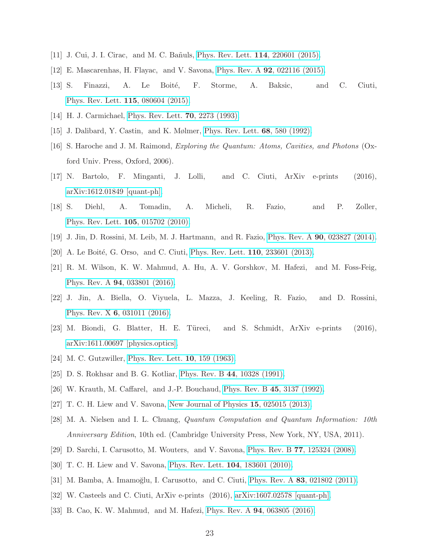- <span id="page-22-0"></span>[11] J. Cui, J. I. Cirac, and M. C. Ba˜nuls, [Phys. Rev. Lett.](http://dx.doi.org/10.1103/PhysRevLett.114.220601) 114, 220601 (2015).
- <span id="page-22-1"></span>[12] E. Mascarenhas, H. Flayac, and V. Savona, Phys. Rev. A 92[, 022116 \(2015\).](http://dx.doi.org/10.1103/PhysRevA.92.022116)
- [13] S. Finazzi, A. Le Boité, F. Storme, A. Baksic, and C. Ciuti, [Phys. Rev. Lett.](http://dx.doi.org/ 10.1103/PhysRevLett.115.080604) 115, 080604 (2015).
- <span id="page-22-3"></span><span id="page-22-2"></span>[14] H. J. Carmichael, [Phys. Rev. Lett.](http://dx.doi.org/10.1103/PhysRevLett.70.2273) 70, 2273 (1993).
- <span id="page-22-4"></span>[15] J. Dalibard, Y. Castin, and K. Mølmer, [Phys. Rev. Lett.](http://dx.doi.org/10.1103/PhysRevLett.68.580) 68, 580 (1992).
- [16] S. Haroche and J. M. Raimond, *Exploring the Quantum: Atoms, Cavities, and Photons* (Oxford Univ. Press, Oxford, 2006).
- <span id="page-22-5"></span>[17] N. Bartolo, F. Minganti, J. Lolli, and C. Ciuti, ArXiv e-prints (2016), [arXiv:1612.01849 \[quant-ph\].](http://arxiv.org/abs/1612.01849)
- <span id="page-22-6"></span>[18] S. Diehl, A. Tomadin, A. Micheli, R. Fazio, and P. Zoller, [Phys. Rev. Lett.](http://dx.doi.org/ 10.1103/PhysRevLett.105.015702) 105, 015702 (2010).
- <span id="page-22-15"></span>[19] J. Jin, D. Rossini, M. Leib, M. J. Hartmann, and R. Fazio, Phys. Rev. A 90[, 023827 \(2014\).](http://dx.doi.org/ 10.1103/PhysRevA.90.023827)
- [20] A. Le Boité, G. Orso, and C. Ciuti, [Phys. Rev. Lett.](http://dx.doi.org/10.1103/PhysRevLett.110.233601) **110**,  $233601$  (2013).
- [21] R. M. Wilson, K. W. Mahmud, A. Hu, A. V. Gorshkov, M. Hafezi, and M. Foss-Feig, Phys. Rev. A 94[, 033801 \(2016\).](http://dx.doi.org/ 10.1103/PhysRevA.94.033801)
- [22] J. Jin, A. Biella, O. Viyuela, L. Mazza, J. Keeling, R. Fazio, and D. Rossini, Phys. Rev. X 6[, 031011 \(2016\).](http://dx.doi.org/10.1103/PhysRevX.6.031011)
- <span id="page-22-7"></span>[23] M. Biondi, G. Blatter, H. E. Türeci, and S. Schmidt, ArXiv e-prints (2016), [arXiv:1611.00697 \[physics.optics\].](http://arxiv.org/abs/1611.00697)
- <span id="page-22-8"></span>[24] M. C. Gutzwiller, [Phys. Rev. Lett.](http://dx.doi.org/10.1103/PhysRevLett.10.159) 10, 159 (1963).
- <span id="page-22-9"></span>[25] D. S. Rokhsar and B. G. Kotliar, Phys. Rev. B 44[, 10328 \(1991\).](http://dx.doi.org/10.1103/PhysRevB.44.10328)
- <span id="page-22-10"></span>[26] W. Krauth, M. Caffarel, and J.-P. Bouchaud, [Phys. Rev. B](http://dx.doi.org/10.1103/PhysRevB.45.3137) 45, 3137 (1992).
- <span id="page-22-11"></span>[27] T. C. H. Liew and V. Savona, [New Journal of Physics](http://stacks.iop.org/1367-2630/15/i=2/a=025015) 15, 025015 (2013).
- <span id="page-22-12"></span>[28] M. A. Nielsen and I. L. Chuang, *Quantum Computation and Quantum Information: 10th Anniversary Edition*, 10th ed. (Cambridge University Press, New York, NY, USA, 2011).
- <span id="page-22-13"></span>[29] D. Sarchi, I. Carusotto, M. Wouters, and V. Savona, Phys. Rev. B 77[, 125324 \(2008\).](http://dx.doi.org/10.1103/PhysRevB.77.125324)
- [30] T. C. H. Liew and V. Savona, [Phys. Rev. Lett.](http://dx.doi.org/10.1103/PhysRevLett.104.183601) 104, 183601 (2010).
- [31] M. Bamba, A. Imamoğlu, I. Carusotto, and C. Ciuti, Phys. Rev. A 83[, 021802 \(2011\).](http://dx.doi.org/ 10.1103/PhysRevA.83.021802)
- [32] W. Casteels and C. Ciuti, ArXiv e-prints (2016), [arXiv:1607.02578 \[quant-ph\].](http://arxiv.org/abs/1607.02578)
- <span id="page-22-14"></span>[33] B. Cao, K. W. Mahmud, and M. Hafezi, Phys. Rev. A 94[, 063805 \(2016\).](http://dx.doi.org/10.1103/PhysRevA.94.063805)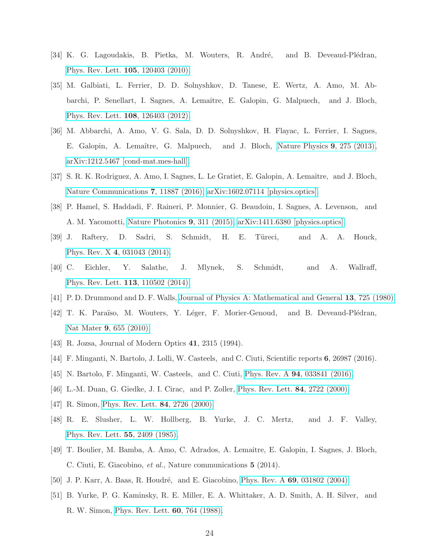- <span id="page-23-0"></span>[34] K. G. Lagoudakis, B. Pietka, M. Wouters, R. André, and B. Deveaud-Plédran, [Phys. Rev. Lett.](http://dx.doi.org/10.1103/PhysRevLett.105.120403) 105, 120403 (2010).
- [35] M. Galbiati, L. Ferrier, D. D. Solnyshkov, D. Tanese, E. Wertz, A. Amo, M. Abbarchi, P. Senellart, I. Sagnes, A. Lemaître, E. Galopin, G. Malpuech, and J. Bloch, [Phys. Rev. Lett.](http://dx.doi.org/10.1103/PhysRevLett.108.126403) 108, 126403 (2012).
- [36] M. Abbarchi, A. Amo, V. G. Sala, D. D. Solnyshkov, H. Flayac, L. Ferrier, I. Sagnes, E. Galopin, A. Lemaître, G. Malpuech, and J. Bloch, [Nature Physics](http://dx.doi.org/ 10.1038/nphys2609) 9, 275 (2013), [arXiv:1212.5467 \[cond-mat.mes-hall\].](http://arxiv.org/abs/1212.5467)
- <span id="page-23-1"></span>[37] S. R. K. Rodriguez, A. Amo, I. Sagnes, L. Le Gratiet, E. Galopin, A. Lemaˆıtre, and J. Bloch, [Nature Communications](http://dx.doi.org/10.1038/ncomms11887) 7, 11887 (2016), [arXiv:1602.07114 \[physics.optics\].](http://arxiv.org/abs/1602.07114)
- <span id="page-23-2"></span>[38] P. Hamel, S. Haddadi, F. Raineri, P. Monnier, G. Beaudoin, I. Sagnes, A. Levenson, and A. M. Yacomotti, [Nature Photonics](http://dx.doi.org/ 10.1038/nphoton.2015.65) 9, 311 (2015), [arXiv:1411.6380 \[physics.optics\].](http://arxiv.org/abs/1411.6380)
- <span id="page-23-3"></span>[39] J. Raftery, D. Sadri, S. Schmidt, H. E. Türeci, and A. A. Houck, Phys. Rev. X 4[, 031043 \(2014\).](http://dx.doi.org/ 10.1103/PhysRevX.4.031043)
- <span id="page-23-4"></span>[40] C. Eichler, Y. Salathe, J. Mlynek, S. Schmidt, and A. Wallraff, [Phys. Rev. Lett.](http://dx.doi.org/ 10.1103/PhysRevLett.113.110502) 113, 110502 (2014).
- <span id="page-23-5"></span>[41] P. D. Drummond and D. F. Walls, [Journal of Physics A: Mathematical and General](http://stacks.iop.org/0305-4470/13/i=2/a=034) 13, 725 (1980).
- <span id="page-23-6"></span>[42] T. K. Paraïso, M. Wouters, Y. Léger, F. Morier-Genoud, and B. Deveaud-Plédran, Nat Mater 9[, 655 \(2010\).](http://dx.doi.org/10.1038/nmat2787)
- <span id="page-23-7"></span>[43] R. Jozsa, Journal of Modern Optics 41, 2315 (1994).
- [44] F. Minganti, N. Bartolo, J. Lolli, W. Casteels, and C. Ciuti, Scientific reports 6, 26987 (2016).
- <span id="page-23-8"></span>[45] N. Bartolo, F. Minganti, W. Casteels, and C. Ciuti, Phys. Rev. A 94[, 033841 \(2016\).](http://dx.doi.org/10.1103/PhysRevA.94.033841)
- <span id="page-23-9"></span>[46] L.-M. Duan, G. Giedke, J. I. Cirac, and P. Zoller, [Phys. Rev. Lett.](http://dx.doi.org/10.1103/PhysRevLett.84.2722) 84, 2722 (2000).
- <span id="page-23-10"></span>[47] R. Simon, [Phys. Rev. Lett.](http://dx.doi.org/10.1103/PhysRevLett.84.2726) **84**, 2726 (2000).
- <span id="page-23-11"></span>[48] R. E. Slusher, L. W. Hollberg, B. Yurke, J. C. Mertz, and J. F. Valley, [Phys. Rev. Lett.](http://dx.doi.org/10.1103/PhysRevLett.55.2409) 55, 2409 (1985).
- <span id="page-23-12"></span>[49] T. Boulier, M. Bamba, A. Amo, C. Adrados, A. Lemaitre, E. Galopin, I. Sagnes, J. Bloch, C. Ciuti, E. Giacobino, *et al.*, Nature communications 5 (2014).
- <span id="page-23-13"></span>[50] J. P. Karr, A. Baas, R. Houdré, and E. Giacobino, Phys. Rev. A **69**[, 031802 \(2004\).](http://dx.doi.org/ 10.1103/PhysRevA.69.031802)
- <span id="page-23-14"></span>[51] B. Yurke, P. G. Kaminsky, R. E. Miller, E. A. Whittaker, A. D. Smith, A. H. Silver, and R. W. Simon, [Phys. Rev. Lett.](http://dx.doi.org/ 10.1103/PhysRevLett.60.764) 60, 764 (1988).